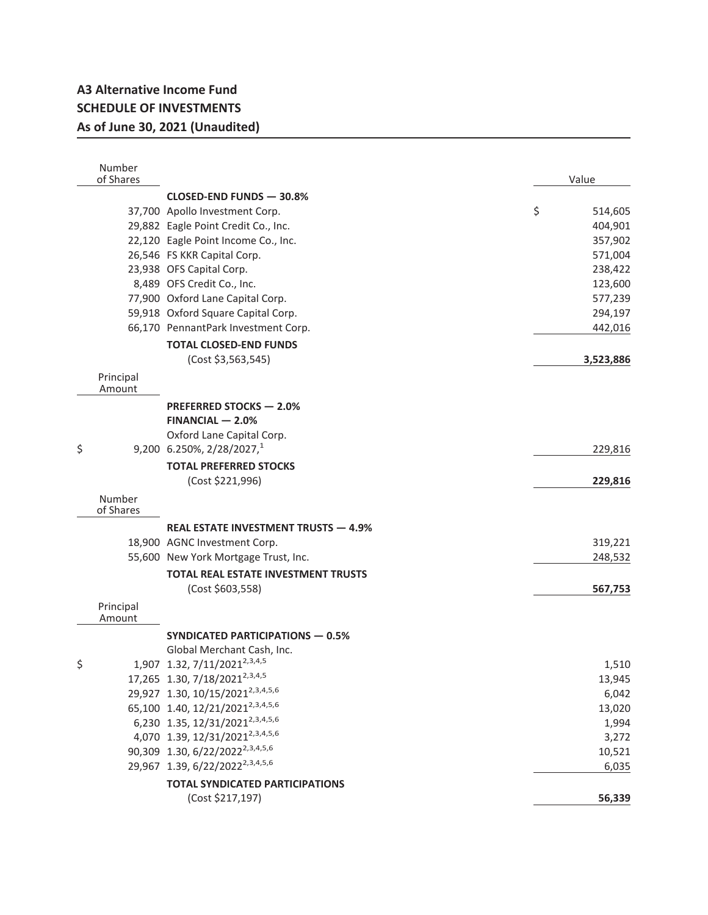## **A3 Alternative Income Fund SCHEDULE OF INVESTMENTS As of June 30, 2021 (Unaudited)**

|    | Number<br>of Shares |                                              | Value         |
|----|---------------------|----------------------------------------------|---------------|
|    |                     | CLOSED-END FUNDS - 30.8%                     |               |
|    |                     | 37,700 Apollo Investment Corp.               | \$<br>514,605 |
|    |                     | 29,882 Eagle Point Credit Co., Inc.          | 404,901       |
|    |                     | 22,120 Eagle Point Income Co., Inc.          | 357,902       |
|    |                     | 26,546 FS KKR Capital Corp.                  | 571,004       |
|    |                     | 23,938 OFS Capital Corp.                     | 238,422       |
|    |                     | 8,489 OFS Credit Co., Inc.                   | 123,600       |
|    |                     | 77,900 Oxford Lane Capital Corp.             | 577,239       |
|    |                     | 59,918 Oxford Square Capital Corp.           | 294,197       |
|    |                     | 66,170 PennantPark Investment Corp.          | 442,016       |
|    |                     | <b>TOTAL CLOSED-END FUNDS</b>                |               |
|    |                     | (Cost \$3,563,545)                           | 3,523,886     |
|    | Principal<br>Amount |                                              |               |
|    |                     | <b>PREFERRED STOCKS - 2.0%</b>               |               |
|    |                     | $FINANCIAL - 2.0%$                           |               |
|    |                     | Oxford Lane Capital Corp.                    |               |
| \$ |                     | 9,200 6.250%, $2/28/2027$ , <sup>1</sup>     | 229,816       |
|    |                     | <b>TOTAL PREFERRED STOCKS</b>                |               |
|    |                     | (Cost \$221,996)                             | 229,816       |
|    | Number<br>of Shares |                                              |               |
|    |                     | <b>REAL ESTATE INVESTMENT TRUSTS - 4.9%</b>  |               |
|    |                     | 18,900 AGNC Investment Corp.                 | 319,221       |
|    |                     | 55,600 New York Mortgage Trust, Inc.         | 248,532       |
|    |                     | <b>TOTAL REAL ESTATE INVESTMENT TRUSTS</b>   |               |
|    |                     | (Cost \$603,558)                             | 567,753       |
|    | Principal<br>Amount |                                              |               |
|    |                     | <b>SYNDICATED PARTICIPATIONS - 0.5%</b>      |               |
|    |                     | Global Merchant Cash, Inc.                   |               |
| \$ |                     | 1,907 1.32, 7/11/2021 <sup>2,3,4,5</sup>     | 1,510         |
|    |                     | 17,265 1.30, 7/18/2021 <sup>2,3,4,5</sup>    | 13,945        |
|    |                     | 29,927 1.30, 10/15/2021 <sup>2,3,4,5,6</sup> | 6,042         |
|    |                     | 65,100 1.40, 12/21/2021 <sup>2,3,4,5,6</sup> | 13,020        |
|    |                     | 6,230 1.35, 12/31/2021 <sup>2,3,4,5,6</sup>  | 1,994         |
|    |                     | 4,070 1.39, 12/31/2021 <sup>2,3,4,5,6</sup>  | 3,272         |
|    |                     | 90,309 1.30, 6/22/2022 <sup>2,3,4,5,6</sup>  | 10,521        |
|    |                     | 29,967 1.39, 6/22/2022 <sup>2,3,4,5,6</sup>  | 6,035         |
|    |                     | <b>TOTAL SYNDICATED PARTICIPATIONS</b>       |               |
|    |                     | (Cost \$217,197)                             | 56,339        |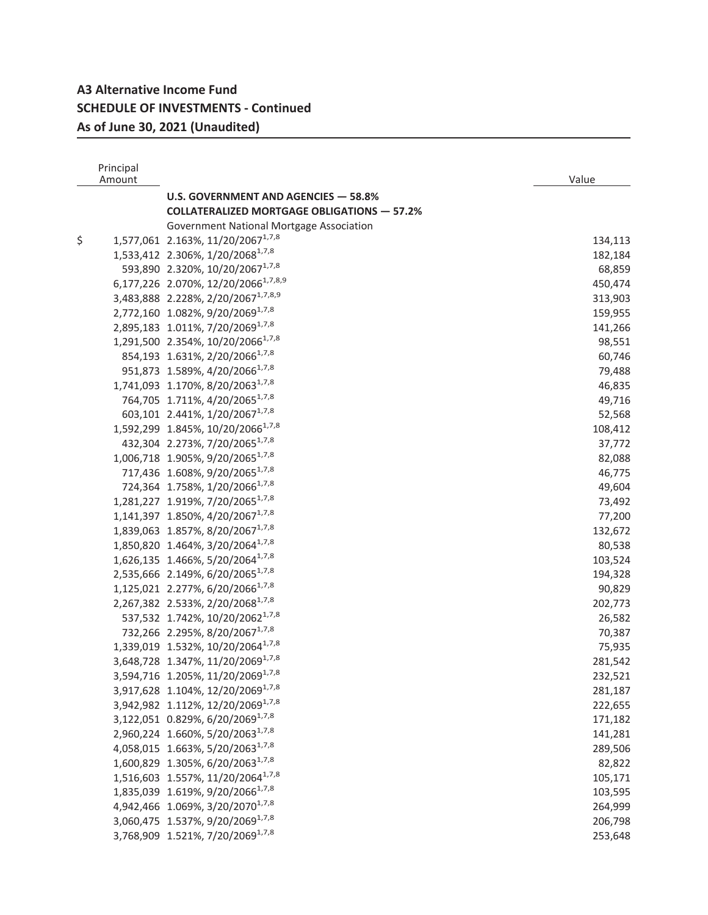## **A3 Alternative Income Fund SCHEDULE OF INVESTMENTS - Continued As of June 30, 2021 (Unaudited)**

| Principal<br>Amount |                                                                                          | Value             |
|---------------------|------------------------------------------------------------------------------------------|-------------------|
|                     | U.S. GOVERNMENT AND AGENCIES - 58.8%                                                     |                   |
|                     | <b>COLLATERALIZED MORTGAGE OBLIGATIONS - 57.2%</b>                                       |                   |
|                     | Government National Mortgage Association                                                 |                   |
| \$                  | 1,577,061 2.163%, 11/20/2067 <sup>1,7,8</sup>                                            | 134,113           |
|                     | 1,533,412 2.306%, 1/20/2068 <sup>1,7,8</sup>                                             |                   |
|                     | 593,890 2.320%, 10/20/2067 <sup>1,7,8</sup>                                              | 182,184           |
|                     | 6,177,226 2.070%, 12/20/2066 <sup>1,7,8,9</sup>                                          | 68,859            |
|                     |                                                                                          | 450,474           |
|                     | 3,483,888 2.228%, 2/20/2067 <sup>1,7,8,9</sup>                                           | 313,903           |
|                     | 2,772,160 1.082%, 9/20/2069 <sup>1,7,8</sup>                                             | 159,955           |
|                     | 2,895,183 1.011%, 7/20/2069 <sup>1,7,8</sup>                                             | 141,266           |
|                     | 1,291,500 2.354%, 10/20/2066 <sup>1,7,8</sup>                                            | 98,551            |
|                     | 854, 193 1.631%, 2/20/2066 <sup>1,7,8</sup>                                              | 60,746            |
|                     | 951,873 1.589%, 4/20/2066 <sup>1,7,8</sup>                                               | 79,488            |
|                     | 1,741,093 1.170%, 8/20/2063 <sup>1,7,8</sup>                                             | 46,835            |
|                     | 764,705 1.711%, 4/20/2065 <sup>1,7,8</sup><br>603,101 2.441%, 1/20/2067 <sup>1,7,8</sup> | 49,716            |
|                     | 1,592,299 1.845%, 10/20/2066 <sup>1,7,8</sup>                                            | 52,568            |
|                     | 432,304 2.273%, 7/20/2065 <sup>1,7,8</sup>                                               | 108,412<br>37,772 |
|                     | 1,006,718 1.905%, 9/20/2065 <sup>1,7,8</sup>                                             | 82,088            |
|                     | 717,436 1.608%, 9/20/2065 <sup>1,7,8</sup>                                               |                   |
|                     | 724,364 1.758%, 1/20/2066 <sup>1,7,8</sup>                                               | 46,775<br>49,604  |
|                     | 1,281,227 1.919%, 7/20/2065 <sup>1,7,8</sup>                                             | 73,492            |
|                     | 1,141,397 1.850%, 4/20/2067 <sup>1,7,8</sup>                                             | 77,200            |
|                     | 1,839,063 1.857%, 8/20/2067 <sup>1,7,8</sup>                                             | 132,672           |
|                     | 1,850,820 1.464%, 3/20/2064 <sup>1,7,8</sup>                                             | 80,538            |
|                     | 1,626,135 1.466%, 5/20/2064 <sup>1,7,8</sup>                                             | 103,524           |
|                     | 2,535,666 2.149%, 6/20/2065 <sup>1,7,8</sup>                                             | 194,328           |
|                     | 1,125,021 2.277%, 6/20/2066 <sup>1,7,8</sup>                                             | 90,829            |
|                     | 2,267,382 2.533%, 2/20/2068 <sup>1,7,8</sup>                                             | 202,773           |
|                     | 537,532 1.742%, 10/20/2062 <sup>1,7,8</sup>                                              | 26,582            |
|                     | 732,266 2.295%, 8/20/2067 <sup>1,7,8</sup>                                               | 70,387            |
|                     | 1,339,019 1.532%, 10/20/2064 <sup>1,7,8</sup>                                            | 75,935            |
|                     | 3,648,728 1.347%, 11/20/2069 <sup>1,7,8</sup>                                            | 281,542           |
|                     | 3,594,716 1.205%, 11/20/2069 <sup>1,7,8</sup>                                            | 232,521           |
|                     | 3,917,628 1.104%, 12/20/2069 <sup>1,7,8</sup>                                            | 281,187           |
|                     | 3,942,982 1.112%, 12/20/2069 <sup>1,7,8</sup>                                            | 222,655           |
|                     | 3,122,051 0.829%, 6/20/2069 <sup>1,7,8</sup>                                             | 171,182           |
|                     | 2,960,224 1.660%, 5/20/2063 <sup>1,7,8</sup>                                             | 141,281           |
|                     | 4,058,015 1.663%, 5/20/2063 <sup>1,7,8</sup>                                             | 289,506           |
|                     | 1,600,829 1.305%, 6/20/2063 <sup>1,7,8</sup>                                             | 82,822            |
|                     | 1,516,603 1.557%, 11/20/2064 <sup>1,7,8</sup>                                            | 105,171           |
|                     | 1,835,039 1.619%, 9/20/2066 <sup>1,7,8</sup>                                             | 103,595           |
|                     | 4,942,466 1.069%, 3/20/2070 <sup>1,7,8</sup>                                             | 264,999           |
|                     | 3,060,475 1.537%, 9/20/2069 <sup>1,7,8</sup>                                             | 206,798           |
|                     | 3,768,909 1.521%, 7/20/20691,7,8                                                         | 253,648           |
|                     |                                                                                          |                   |